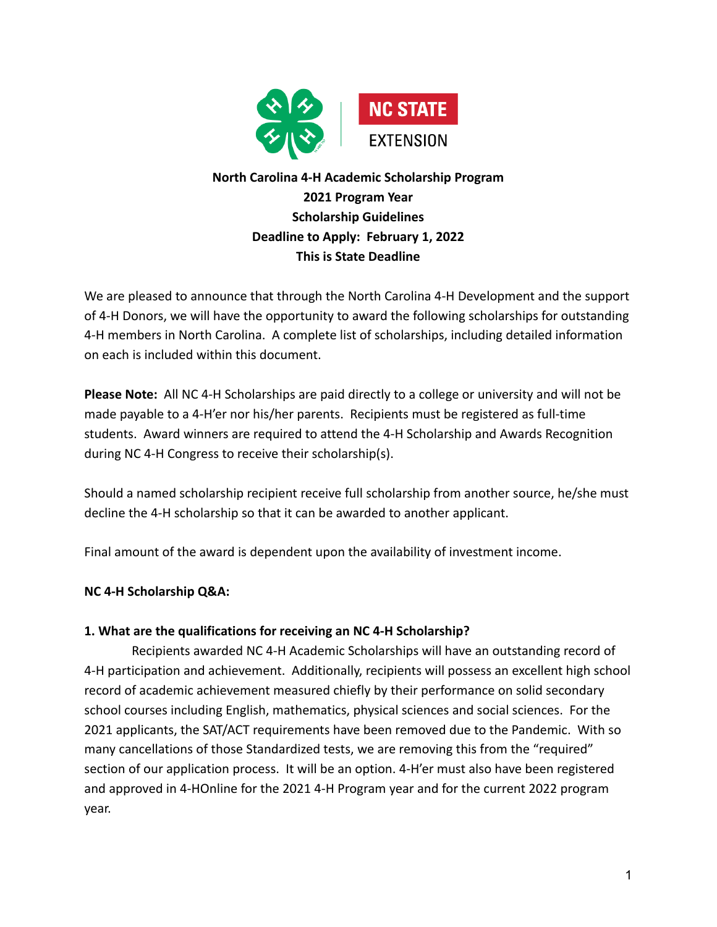

# **North Carolina 4-H Academic Scholarship Program 2021 Program Year Scholarship Guidelines Deadline to Apply: February 1, 2022 This is State Deadline**

We are pleased to announce that through the North Carolina 4-H Development and the support of 4-H Donors, we will have the opportunity to award the following scholarships for outstanding 4-H members in North Carolina. A complete list of scholarships, including detailed information on each is included within this document.

**Please Note:** All NC 4-H Scholarships are paid directly to a college or university and will not be made payable to a 4-H'er nor his/her parents. Recipients must be registered as full-time students. Award winners are required to attend the 4-H Scholarship and Awards Recognition during NC 4-H Congress to receive their scholarship(s).

Should a named scholarship recipient receive full scholarship from another source, he/she must decline the 4-H scholarship so that it can be awarded to another applicant.

Final amount of the award is dependent upon the availability of investment income.

## **NC 4-H Scholarship Q&A:**

## **1. What are the qualifications for receiving an NC 4-H Scholarship?**

Recipients awarded NC 4-H Academic Scholarships will have an outstanding record of 4-H participation and achievement. Additionally, recipients will possess an excellent high school record of academic achievement measured chiefly by their performance on solid secondary school courses including English, mathematics, physical sciences and social sciences. For the 2021 applicants, the SAT/ACT requirements have been removed due to the Pandemic. With so many cancellations of those Standardized tests, we are removing this from the "required" section of our application process. It will be an option. 4-H'er must also have been registered and approved in 4-HOnline for the 2021 4-H Program year and for the current 2022 program year.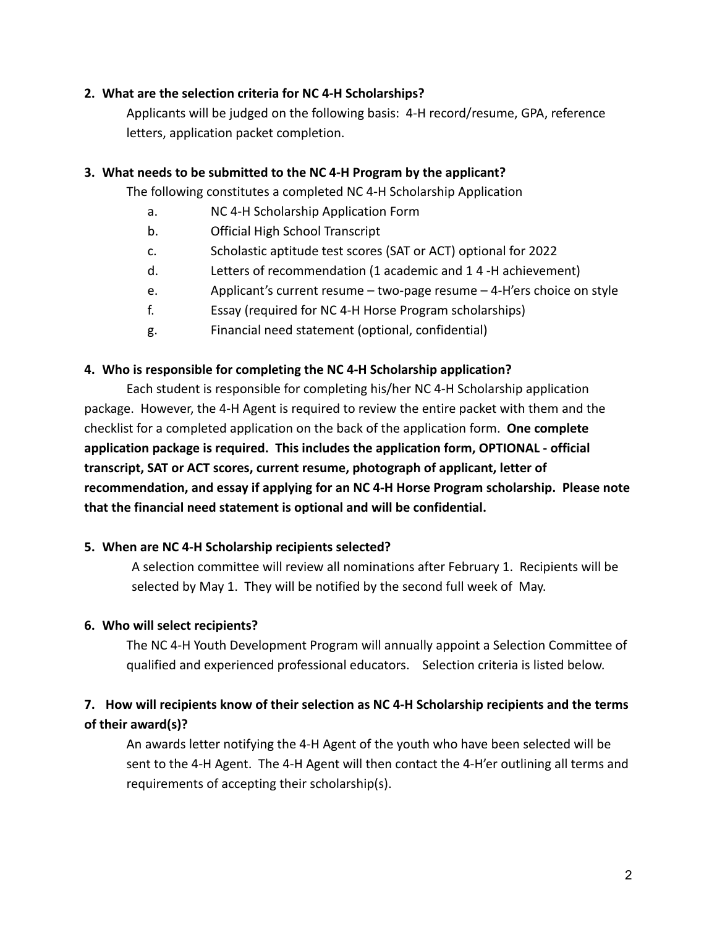#### **2. What are the selection criteria for NC 4-H Scholarships?**

Applicants will be judged on the following basis: 4-H record/resume, GPA, reference letters, application packet completion.

#### **3. What needs to be submitted to the NC 4-H Program by the applicant?**

The following constitutes a completed NC 4-H Scholarship Application

- a. NC 4-H Scholarship Application Form
- b. Official High School Transcript
- c. Scholastic aptitude test scores (SAT or ACT) optional for 2022
- d. Letters of recommendation (1 academic and 1 4 -H achievement)
- e. Applicant's current resume two-page resume 4-H'ers choice on style
- f. Essay (required for NC 4-H Horse Program scholarships)
- g. Financial need statement (optional, confidential)

#### **4. Who is responsible for completing the NC 4-H Scholarship application?**

Each student is responsible for completing his/her NC 4-H Scholarship application package. However, the 4-H Agent is required to review the entire packet with them and the checklist for a completed application on the back of the application form. **One complete application package is required. This includes the application form, OPTIONAL - official transcript, SAT or ACT scores, current resume, photograph of applicant, letter of recommendation, and essay if applying for an NC 4-H Horse Program scholarship. Please note that the financial need statement is optional and will be confidential.**

#### **5. When are NC 4-H Scholarship recipients selected?**

A selection committee will review all nominations after February 1. Recipients will be selected by May 1. They will be notified by the second full week of May.

#### **6. Who will select recipients?**

The NC 4-H Youth Development Program will annually appoint a Selection Committee of qualified and experienced professional educators. Selection criteria is listed below.

# **7. How will recipients know of their selection as NC 4-H Scholarship recipients and the terms of their award(s)?**

An awards letter notifying the 4-H Agent of the youth who have been selected will be sent to the 4-H Agent. The 4-H Agent will then contact the 4-H'er outlining all terms and requirements of accepting their scholarship(s).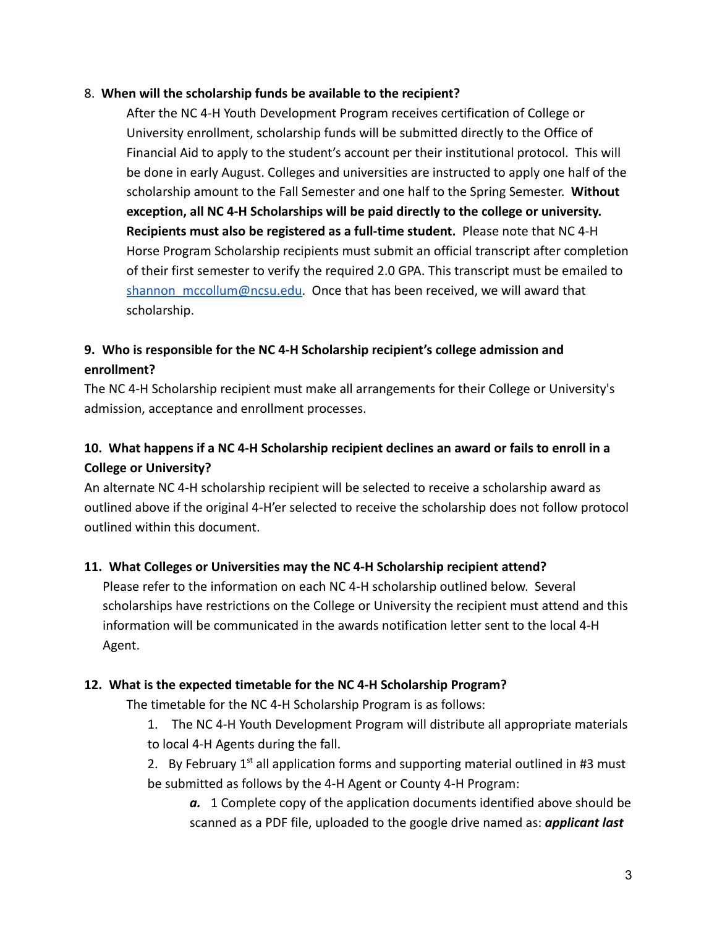#### 8. **When will the scholarship funds be available to the recipient?**

After the NC 4-H Youth Development Program receives certification of College or University enrollment, scholarship funds will be submitted directly to the Office of Financial Aid to apply to the student's account per their institutional protocol. This will be done in early August. Colleges and universities are instructed to apply one half of the scholarship amount to the Fall Semester and one half to the Spring Semester. **Without exception, all NC 4-H Scholarships will be paid directly to the college or university. Recipients must also be registered as a full-time student.** Please note that NC 4-H Horse Program Scholarship recipients must submit an official transcript after completion of their first semester to verify the required 2.0 GPA. This transcript must be emailed to [shannon\\_mccollum@ncsu.edu](mailto:shannon_mccollum@ncsu.edu). Once that has been received, we will award that scholarship.

# **9. Who is responsible for the NC 4-H Scholarship recipient's college admission and enrollment?**

The NC 4-H Scholarship recipient must make all arrangements for their College or University's admission, acceptance and enrollment processes.

# **10. What happens if a NC 4-H Scholarship recipient declines an award or fails to enroll in a College or University?**

An alternate NC 4-H scholarship recipient will be selected to receive a scholarship award as outlined above if the original 4-H'er selected to receive the scholarship does not follow protocol outlined within this document.

## **11. What Colleges or Universities may the NC 4-H Scholarship recipient attend?**

Please refer to the information on each NC 4-H scholarship outlined below. Several scholarships have restrictions on the College or University the recipient must attend and this information will be communicated in the awards notification letter sent to the local 4-H Agent.

## **12. What is the expected timetable for the NC 4-H Scholarship Program?**

The timetable for the NC 4-H Scholarship Program is as follows:

1. The NC 4-H Youth Development Program will distribute all appropriate materials to local 4-H Agents during the fall.

2. By February  $1<sup>st</sup>$  all application forms and supporting material outlined in #3 must be submitted as follows by the 4-H Agent or County 4-H Program:

*a.* 1 Complete copy of the application documents identified above should be scanned as a PDF file, uploaded to the google drive named as: *applicant last*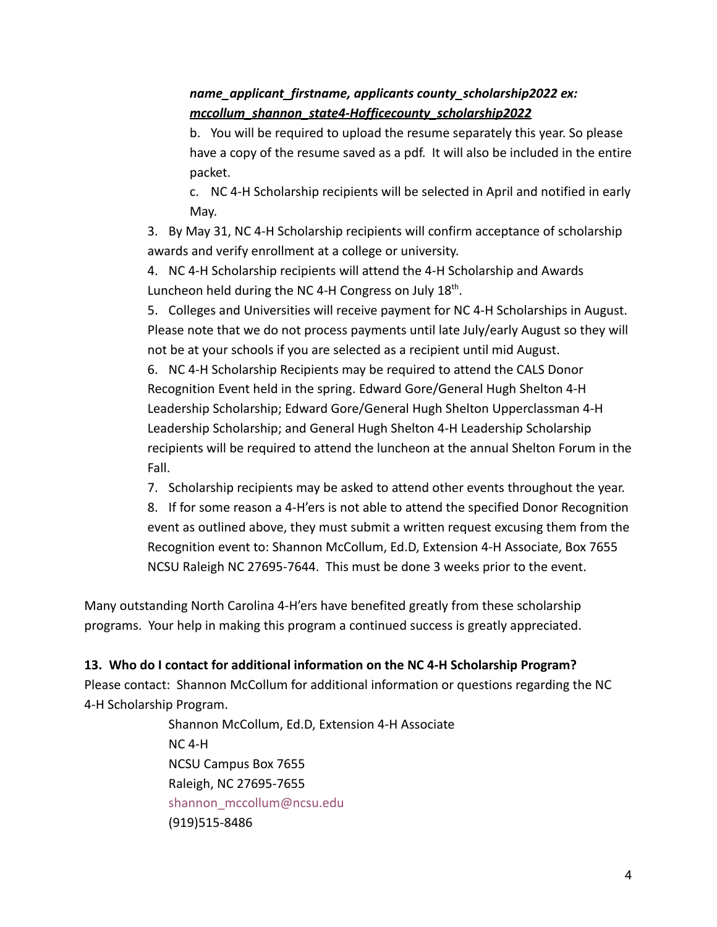# *name\_applicant\_firstname, applicants county\_scholarship2022 ex: mccollum\_shannon\_state4-Hofficecounty\_scholarship2022*

b. You will be required to upload the resume separately this year. So please have a copy of the resume saved as a pdf. It will also be included in the entire packet.

c. NC 4-H Scholarship recipients will be selected in April and notified in early May.

3. By May 31, NC 4-H Scholarship recipients will confirm acceptance of scholarship awards and verify enrollment at a college or university.

4. NC 4-H Scholarship recipients will attend the 4-H Scholarship and Awards Luncheon held during the NC 4-H Congress on July 18<sup>th</sup>.

5. Colleges and Universities will receive payment for NC 4-H Scholarships in August. Please note that we do not process payments until late July/early August so they will not be at your schools if you are selected as a recipient until mid August.

6. NC 4-H Scholarship Recipients may be required to attend the CALS Donor Recognition Event held in the spring. Edward Gore/General Hugh Shelton 4-H Leadership Scholarship; Edward Gore/General Hugh Shelton Upperclassman 4-H Leadership Scholarship; and General Hugh Shelton 4-H Leadership Scholarship recipients will be required to attend the luncheon at the annual Shelton Forum in the Fall.

7. Scholarship recipients may be asked to attend other events throughout the year.

8. If for some reason a 4-H'ers is not able to attend the specified Donor Recognition event as outlined above, they must submit a written request excusing them from the Recognition event to: Shannon McCollum, Ed.D, Extension 4-H Associate, Box 7655 NCSU Raleigh NC 27695-7644. This must be done 3 weeks prior to the event.

Many outstanding North Carolina 4-H'ers have benefited greatly from these scholarship programs. Your help in making this program a continued success is greatly appreciated.

## **13. Who do I contact for additional information on the NC 4-H Scholarship Program?**

Please contact: Shannon McCollum for additional information or questions regarding the NC 4-H Scholarship Program.

> Shannon McCollum, Ed.D, Extension 4-H Associate NC 4-H NCSU Campus Box 7655 Raleigh, NC 27695-7655 shannon mccollum@ncsu.edu (919)515-8486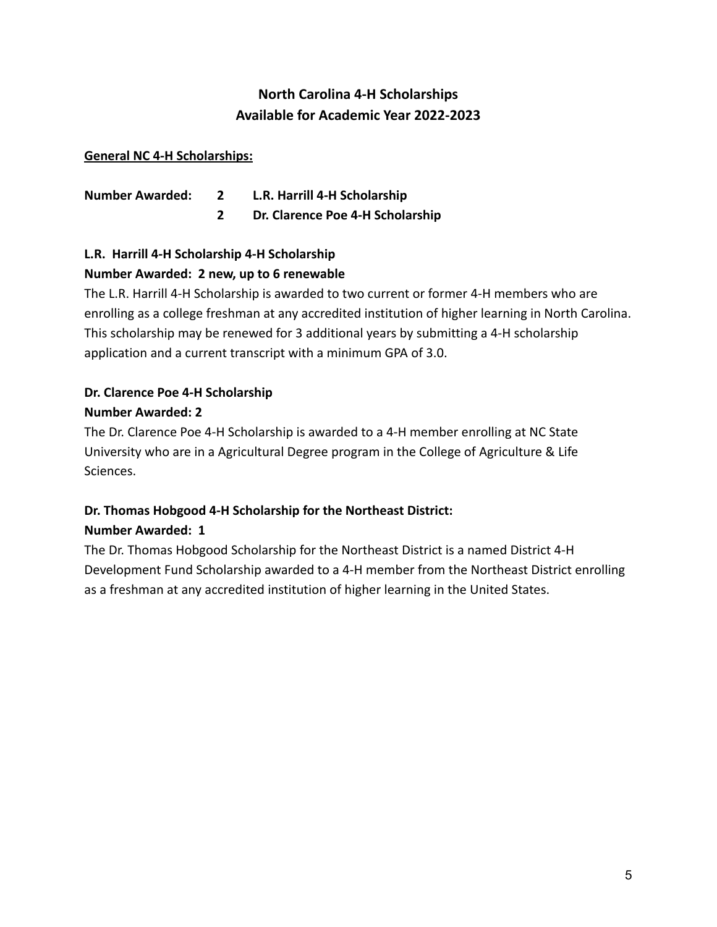# **North Carolina 4-H Scholarships Available for Academic Year 2022-2023**

#### **General NC 4-H Scholarships:**

| <b>Number Awarded:</b> | L.R. Harrill 4-H Scholarship     |
|------------------------|----------------------------------|
|                        | Dr. Clarence Poe 4-H Scholarship |

# **L.R. Harrill 4-H Scholarship 4-H Scholarship Number Awarded: 2 new, up to 6 renewable**

The L.R. Harrill 4-H Scholarship is awarded to two current or former 4-H members who are enrolling as a college freshman at any accredited institution of higher learning in North Carolina. This scholarship may be renewed for 3 additional years by submitting a 4-H scholarship application and a current transcript with a minimum GPA of 3.0.

# **Dr. Clarence Poe 4-H Scholarship Number Awarded: 2**

The Dr. Clarence Poe 4-H Scholarship is awarded to a 4-H member enrolling at NC State University who are in a Agricultural Degree program in the College of Agriculture & Life Sciences.

# **Dr. Thomas Hobgood 4-H Scholarship for the Northeast District: Number Awarded: 1**

The Dr. Thomas Hobgood Scholarship for the Northeast District is a named District 4-H Development Fund Scholarship awarded to a 4-H member from the Northeast District enrolling as a freshman at any accredited institution of higher learning in the United States.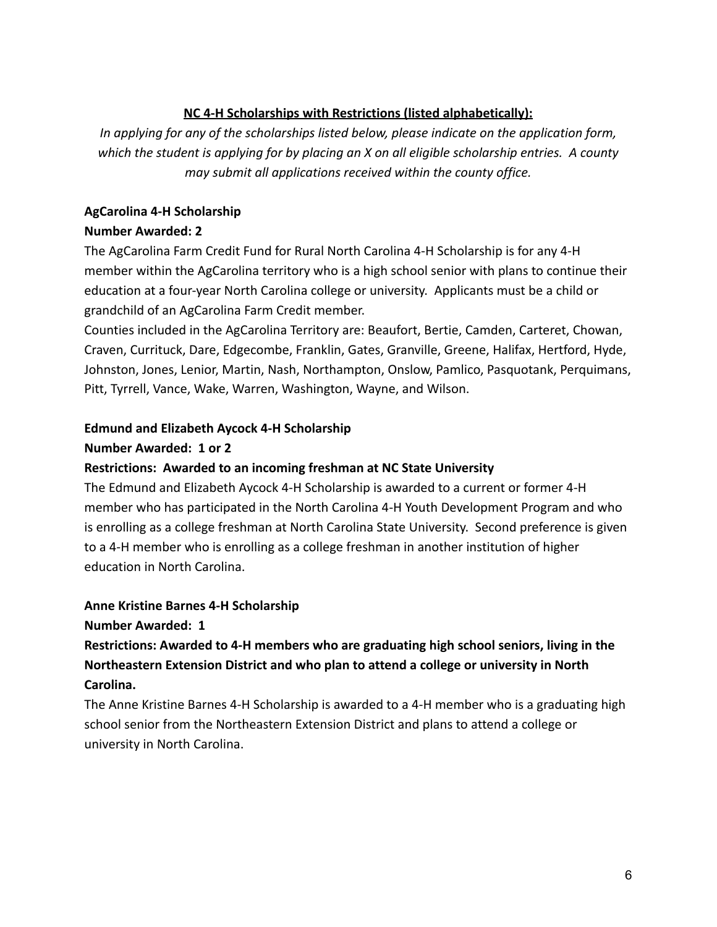# **NC 4-H Scholarships with Restrictions (listed alphabetically):**

*In applying for any of the scholarships listed below, please indicate on the application form, which the student is applying for by placing an X on all eligible scholarship entries. A county may submit all applications received within the county office.*

## **AgCarolina 4-H Scholarship**

# **Number Awarded: 2**

The AgCarolina Farm Credit Fund for Rural North Carolina 4-H Scholarship is for any 4-H member within the AgCarolina territory who is a high school senior with plans to continue their education at a four-year North Carolina college or university. Applicants must be a child or grandchild of an AgCarolina Farm Credit member.

Counties included in the AgCarolina Territory are: Beaufort, Bertie, Camden, Carteret, Chowan, Craven, Currituck, Dare, Edgecombe, Franklin, Gates, Granville, Greene, Halifax, Hertford, Hyde, Johnston, Jones, Lenior, Martin, Nash, Northampton, Onslow, Pamlico, Pasquotank, Perquimans, Pitt, Tyrrell, Vance, Wake, Warren, Washington, Wayne, and Wilson.

# **Edmund and Elizabeth Aycock 4-H Scholarship**

# **Number Awarded: 1 or 2**

## **Restrictions: Awarded to an incoming freshman at NC State University**

The Edmund and Elizabeth Aycock 4-H Scholarship is awarded to a current or former 4-H member who has participated in the North Carolina 4-H Youth Development Program and who is enrolling as a college freshman at North Carolina State University. Second preference is given to a 4-H member who is enrolling as a college freshman in another institution of higher education in North Carolina.

# **Anne Kristine Barnes 4-H Scholarship**

**Number Awarded: 1**

# **Restrictions: Awarded to 4-H members who are graduating high school seniors, living in the Northeastern Extension District and who plan to attend a college or university in North Carolina.**

The Anne Kristine Barnes 4-H Scholarship is awarded to a 4-H member who is a graduating high school senior from the Northeastern Extension District and plans to attend a college or university in North Carolina.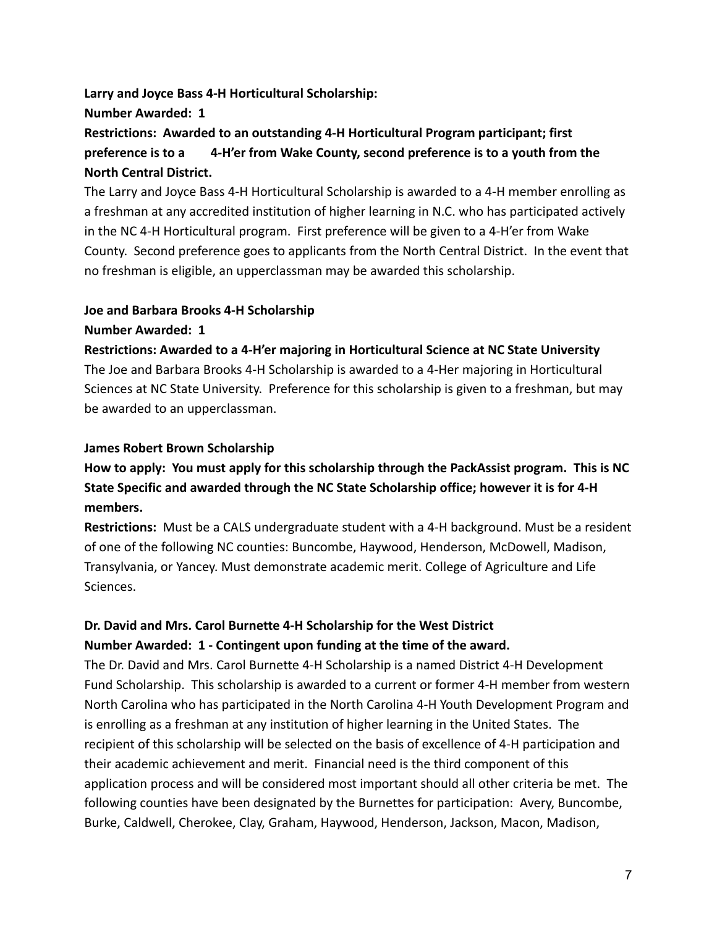#### **Larry and Joyce Bass 4-H Horticultural Scholarship:**

#### **Number Awarded: 1**

**Restrictions: Awarded to an outstanding 4-H Horticultural Program participant; first preference is to a 4-H'er from Wake County, second preference is to a youth from the North Central District.**

The Larry and Joyce Bass 4-H Horticultural Scholarship is awarded to a 4-H member enrolling as a freshman at any accredited institution of higher learning in N.C. who has participated actively in the NC 4-H Horticultural program. First preference will be given to a 4-H'er from Wake County. Second preference goes to applicants from the North Central District. In the event that no freshman is eligible, an upperclassman may be awarded this scholarship.

#### **Joe and Barbara Brooks 4-H Scholarship**

#### **Number Awarded: 1**

**Restrictions: Awarded to a 4-H'er majoring in Horticultural Science at NC State University** The Joe and Barbara Brooks 4-H Scholarship is awarded to a 4-Her majoring in Horticultural Sciences at NC State University. Preference for this scholarship is given to a freshman, but may be awarded to an upperclassman.

## **James Robert Brown Scholarship**

# **How to apply: You must apply for this scholarship through the PackAssist program. This is NC State Specific and awarded through the NC State Scholarship office; however it is for 4-H members.**

**Restrictions:** Must be a CALS undergraduate student with a 4-H background. Must be a resident of one of the following NC counties: Buncombe, Haywood, Henderson, McDowell, Madison, Transylvania, or Yancey. Must demonstrate academic merit. College of Agriculture and Life Sciences.

# **Dr. David and Mrs. Carol Burnette 4-H Scholarship for the West District Number Awarded: 1 - Contingent upon funding at the time of the award.**

The Dr. David and Mrs. Carol Burnette 4-H Scholarship is a named District 4-H Development Fund Scholarship. This scholarship is awarded to a current or former 4-H member from western North Carolina who has participated in the North Carolina 4-H Youth Development Program and is enrolling as a freshman at any institution of higher learning in the United States. The recipient of this scholarship will be selected on the basis of excellence of 4-H participation and their academic achievement and merit. Financial need is the third component of this application process and will be considered most important should all other criteria be met. The following counties have been designated by the Burnettes for participation: Avery, Buncombe, Burke, Caldwell, Cherokee, Clay, Graham, Haywood, Henderson, Jackson, Macon, Madison,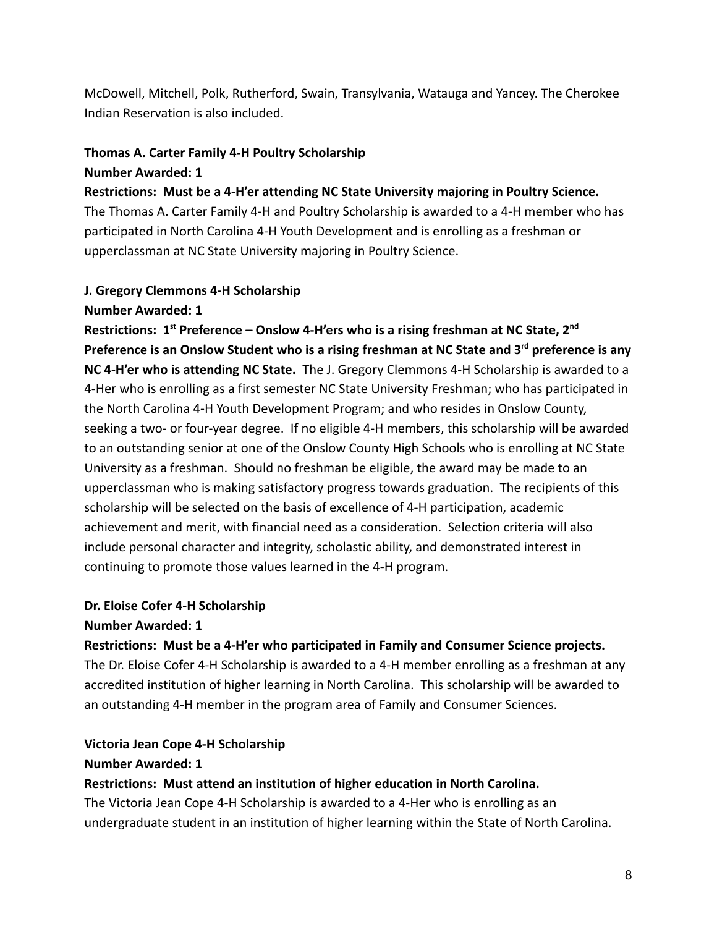McDowell, Mitchell, Polk, Rutherford, Swain, Transylvania, Watauga and Yancey. The Cherokee Indian Reservation is also included.

#### **Thomas A. Carter Family 4-H Poultry Scholarship**

#### **Number Awarded: 1**

**Restrictions: Must be a 4-H'er attending NC State University majoring in Poultry Science.** The Thomas A. Carter Family 4-H and Poultry Scholarship is awarded to a 4-H member who has participated in North Carolina 4-H Youth Development and is enrolling as a freshman or upperclassman at NC State University majoring in Poultry Science.

#### **J. Gregory Clemmons 4-H Scholarship**

#### **Number Awarded: 1**

**Restrictions: 1st Preference – Onslow 4-H'ers who is a rising freshman at NC State, 2nd Preference is an Onslow Student who is a rising freshman at NC State and 3rd preference is any NC 4-H'er who is attending NC State.** The J. Gregory Clemmons 4-H Scholarship is awarded to a 4-Her who is enrolling as a first semester NC State University Freshman; who has participated in the North Carolina 4-H Youth Development Program; and who resides in Onslow County, seeking a two- or four-year degree. If no eligible 4-H members, this scholarship will be awarded to an outstanding senior at one of the Onslow County High Schools who is enrolling at NC State University as a freshman. Should no freshman be eligible, the award may be made to an upperclassman who is making satisfactory progress towards graduation. The recipients of this scholarship will be selected on the basis of excellence of 4-H participation, academic achievement and merit, with financial need as a consideration. Selection criteria will also include personal character and integrity, scholastic ability, and demonstrated interest in continuing to promote those values learned in the 4-H program.

## **Dr. Eloise Cofer 4-H Scholarship**

## **Number Awarded: 1**

## **Restrictions: Must be a 4-H'er who participated in Family and Consumer Science projects.**

The Dr. Eloise Cofer 4-H Scholarship is awarded to a 4-H member enrolling as a freshman at any accredited institution of higher learning in North Carolina. This scholarship will be awarded to an outstanding 4-H member in the program area of Family and Consumer Sciences.

## **Victoria Jean Cope 4-H Scholarship**

#### **Number Awarded: 1**

## **Restrictions: Must attend an institution of higher education in North Carolina.**

The Victoria Jean Cope 4-H Scholarship is awarded to a 4-Her who is enrolling as an undergraduate student in an institution of higher learning within the State of North Carolina.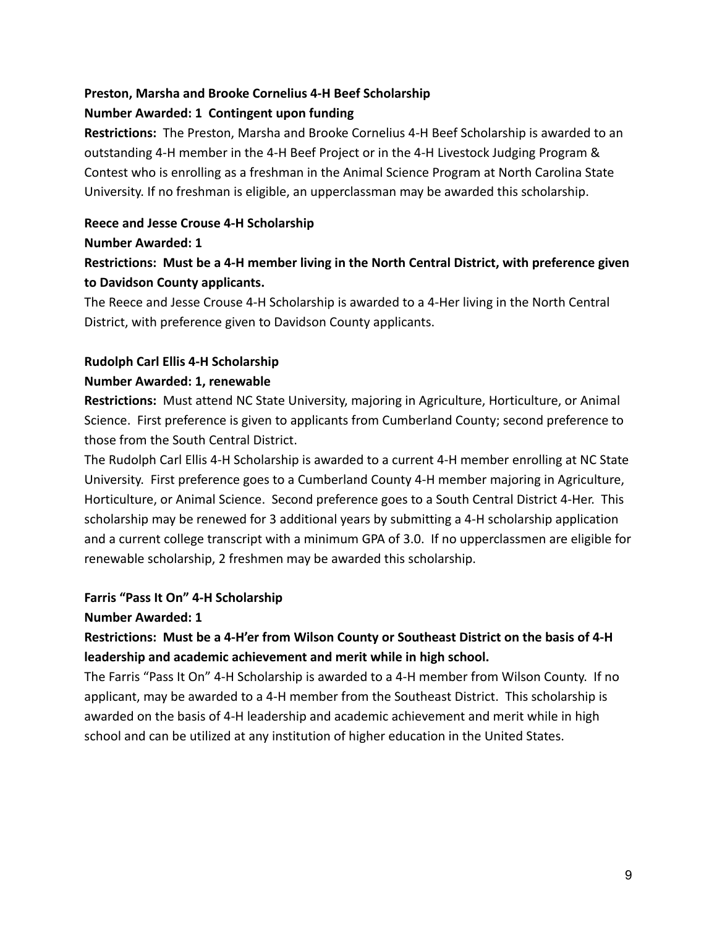# **Preston, Marsha and Brooke Cornelius 4-H Beef Scholarship**

## **Number Awarded: 1 Contingent upon funding**

**Restrictions:** The Preston, Marsha and Brooke Cornelius 4-H Beef Scholarship is awarded to an outstanding 4-H member in the 4-H Beef Project or in the 4-H Livestock Judging Program & Contest who is enrolling as a freshman in the Animal Science Program at North Carolina State University. If no freshman is eligible, an upperclassman may be awarded this scholarship.

## **Reece and Jesse Crouse 4-H Scholarship**

#### **Number Awarded: 1**

# **Restrictions: Must be a 4-H member living in the North Central District, with preference given to Davidson County applicants.**

The Reece and Jesse Crouse 4-H Scholarship is awarded to a 4-Her living in the North Central District, with preference given to Davidson County applicants.

# **Rudolph Carl Ellis 4-H Scholarship**

# **Number Awarded: 1, renewable**

**Restrictions:** Must attend NC State University, majoring in Agriculture, Horticulture, or Animal Science. First preference is given to applicants from Cumberland County; second preference to those from the South Central District.

The Rudolph Carl Ellis 4-H Scholarship is awarded to a current 4-H member enrolling at NC State University. First preference goes to a Cumberland County 4-H member majoring in Agriculture, Horticulture, or Animal Science. Second preference goes to a South Central District 4-Her. This scholarship may be renewed for 3 additional years by submitting a 4-H scholarship application and a current college transcript with a minimum GPA of 3.0. If no upperclassmen are eligible for renewable scholarship, 2 freshmen may be awarded this scholarship.

## **Farris "Pass It On" 4-H Scholarship**

## **Number Awarded: 1**

# **Restrictions: Must be a 4-H'er from Wilson County or Southeast District on the basis of 4-H leadership and academic achievement and merit while in high school.**

The Farris "Pass It On" 4-H Scholarship is awarded to a 4-H member from Wilson County. If no applicant, may be awarded to a 4-H member from the Southeast District. This scholarship is awarded on the basis of 4-H leadership and academic achievement and merit while in high school and can be utilized at any institution of higher education in the United States.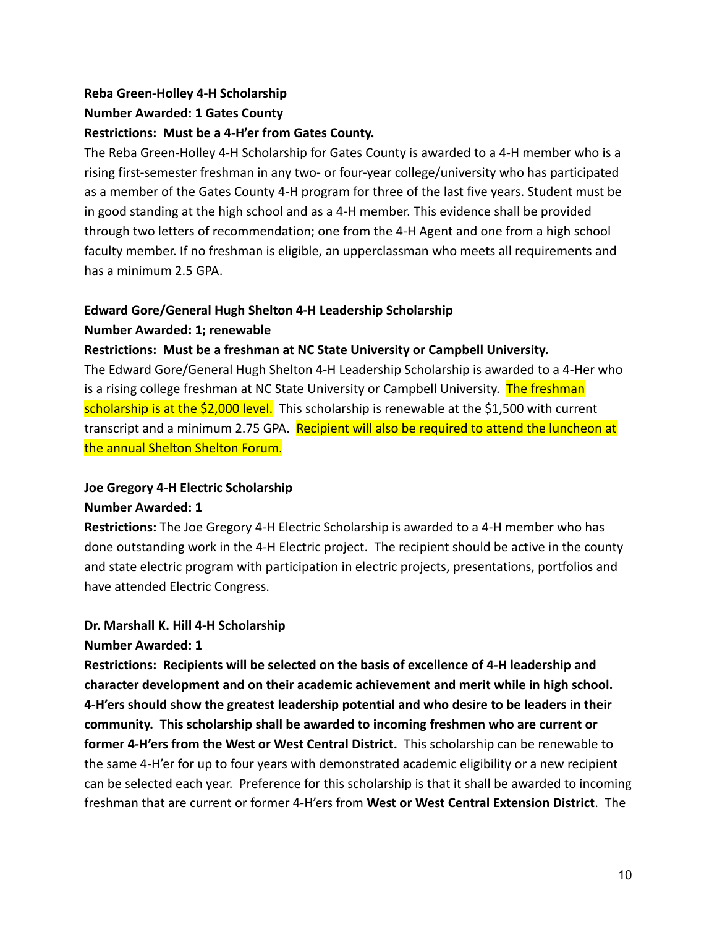# **Reba Green-Holley 4-H Scholarship Number Awarded: 1 Gates County Restrictions: Must be a 4-H'er from Gates County.**

The Reba Green-Holley 4-H Scholarship for Gates County is awarded to a 4-H member who is a rising first-semester freshman in any two- or four-year college/university who has participated as a member of the Gates County 4-H program for three of the last five years. Student must be in good standing at the high school and as a 4-H member. This evidence shall be provided through two letters of recommendation; one from the 4-H Agent and one from a high school faculty member. If no freshman is eligible, an upperclassman who meets all requirements and has a minimum 2.5 GPA.

#### **Edward Gore/General Hugh Shelton 4-H Leadership Scholarship**

#### **Number Awarded: 1; renewable**

#### **Restrictions: Must be a freshman at NC State University or Campbell University.**

The Edward Gore/General Hugh Shelton 4-H Leadership Scholarship is awarded to a 4-Her who is a rising college freshman at NC State University or Campbell University. The freshman scholarship is at the \$2,000 level. This scholarship is renewable at the \$1,500 with current transcript and a minimum 2.75 GPA. Recipient will also be required to attend the luncheon at the annual Shelton Shelton Forum.

# **Joe Gregory 4-H Electric Scholarship**

#### **Number Awarded: 1**

**Restrictions:** The Joe Gregory 4-H Electric Scholarship is awarded to a 4-H member who has done outstanding work in the 4-H Electric project. The recipient should be active in the county and state electric program with participation in electric projects, presentations, portfolios and have attended Electric Congress.

## **Dr. Marshall K. Hill 4-H Scholarship**

#### **Number Awarded: 1**

**Restrictions: Recipients will be selected on the basis of excellence of 4-H leadership and character development and on their academic achievement and merit while in high school. 4-H'ers should show the greatest leadership potential and who desire to be leaders in their community. This scholarship shall be awarded to incoming freshmen who are current or former 4-H'ers from the West or West Central District.** This scholarship can be renewable to the same 4-H'er for up to four years with demonstrated academic eligibility or a new recipient can be selected each year. Preference for this scholarship is that it shall be awarded to incoming freshman that are current or former 4-H'ers from **West or West Central Extension District**. The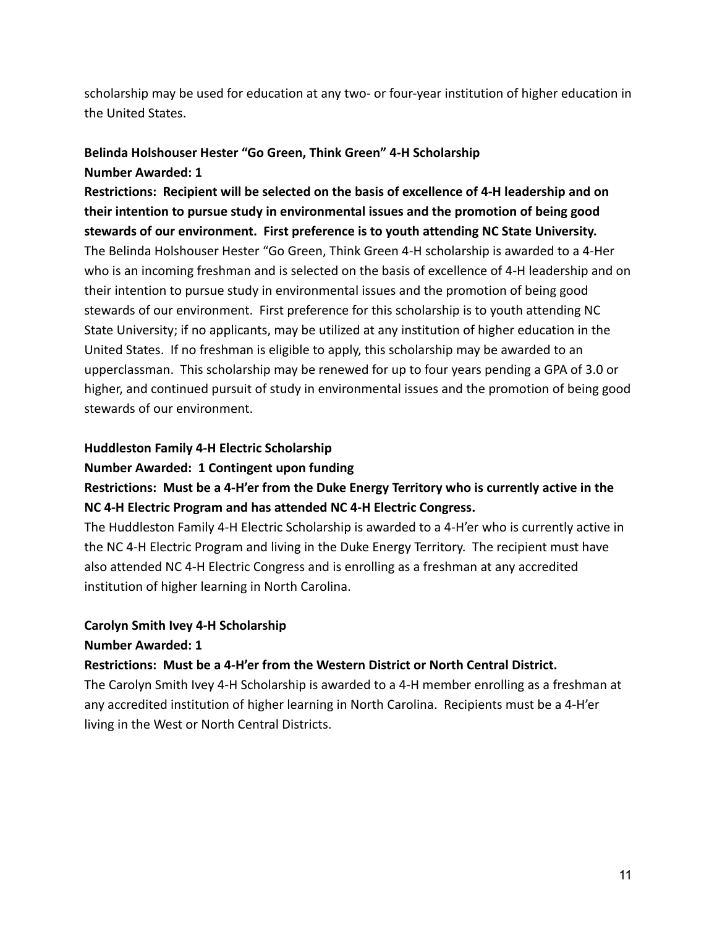scholarship may be used for education at any two- or four-year institution of higher education in the United States.

# **Belinda Holshouser Hester "Go Green, Think Green" 4-H Scholarship Number Awarded: 1**

**Restrictions: Recipient will be selected on the basis of excellence of 4-H leadership and on their intention to pursue study in environmental issues and the promotion of being good stewards of our environment. First preference is to youth attending NC State University.** The Belinda Holshouser Hester "Go Green, Think Green 4-H scholarship is awarded to a 4-Her who is an incoming freshman and is selected on the basis of excellence of 4-H leadership and on their intention to pursue study in environmental issues and the promotion of being good stewards of our environment. First preference for this scholarship is to youth attending NC State University; if no applicants, may be utilized at any institution of higher education in the United States. If no freshman is eligible to apply, this scholarship may be awarded to an upperclassman. This scholarship may be renewed for up to four years pending a GPA of 3.0 or higher, and continued pursuit of study in environmental issues and the promotion of being good stewards of our environment.

#### **Huddleston Family 4-H Electric Scholarship**

#### **Number Awarded: 1 Contingent upon funding**

# **Restrictions: Must be a 4-H'er from the Duke Energy Territory who is currently active in the NC 4-H Electric Program and has attended NC 4-H Electric Congress.**

The Huddleston Family 4-H Electric Scholarship is awarded to a 4-H'er who is currently active in the NC 4-H Electric Program and living in the Duke Energy Territory. The recipient must have also attended NC 4-H Electric Congress and is enrolling as a freshman at any accredited institution of higher learning in North Carolina.

## **Carolyn Smith Ivey 4-H Scholarship**

#### **Number Awarded: 1**

#### **Restrictions: Must be a 4-H'er from the Western District or North Central District.**

The Carolyn Smith Ivey 4-H Scholarship is awarded to a 4-H member enrolling as a freshman at any accredited institution of higher learning in North Carolina. Recipients must be a 4-H'er living in the West or North Central Districts.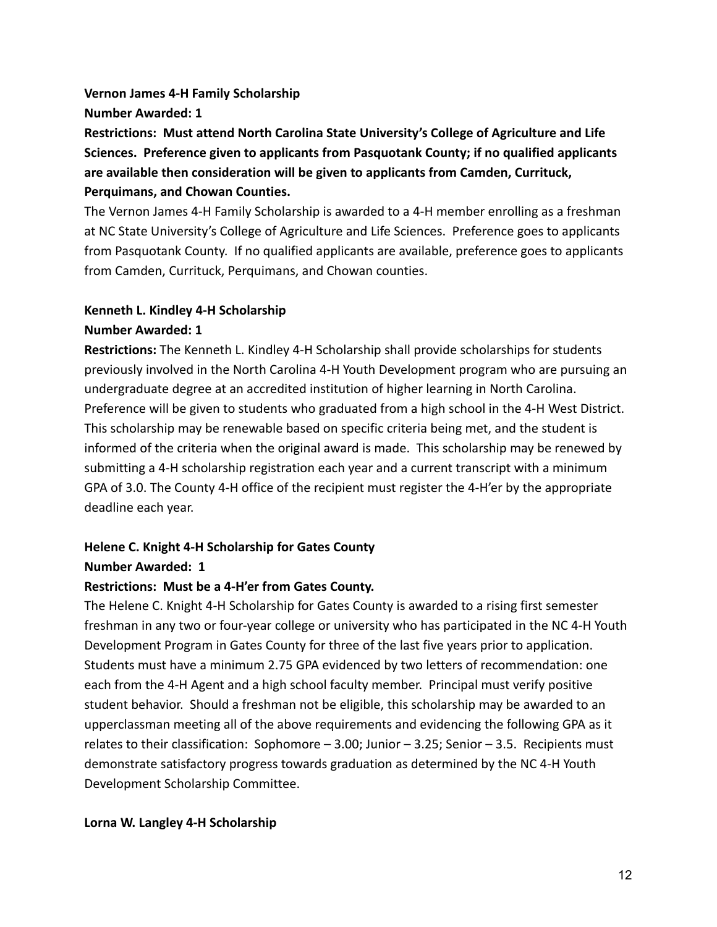#### **Vernon James 4-H Family Scholarship**

#### **Number Awarded: 1**

**Restrictions: Must attend North Carolina State University's College of Agriculture and Life Sciences. Preference given to applicants from Pasquotank County; if no qualified applicants are available then consideration will be given to applicants from Camden, Currituck, Perquimans, and Chowan Counties.**

The Vernon James 4-H Family Scholarship is awarded to a 4-H member enrolling as a freshman at NC State University's College of Agriculture and Life Sciences. Preference goes to applicants from Pasquotank County. If no qualified applicants are available, preference goes to applicants from Camden, Currituck, Perquimans, and Chowan counties.

## **Kenneth L. Kindley 4-H Scholarship**

#### **Number Awarded: 1**

**Restrictions:** The Kenneth L. Kindley 4-H Scholarship shall provide scholarships for students previously involved in the North Carolina 4-H Youth Development program who are pursuing an undergraduate degree at an accredited institution of higher learning in North Carolina. Preference will be given to students who graduated from a high school in the 4-H West District. This scholarship may be renewable based on specific criteria being met, and the student is informed of the criteria when the original award is made. This scholarship may be renewed by submitting a 4-H scholarship registration each year and a current transcript with a minimum GPA of 3.0. The County 4-H office of the recipient must register the 4-H'er by the appropriate deadline each year.

## **Helene C. Knight 4-H Scholarship for Gates County**

## **Number Awarded: 1**

## **Restrictions: Must be a 4-H'er from Gates County.**

The Helene C. Knight 4-H Scholarship for Gates County is awarded to a rising first semester freshman in any two or four-year college or university who has participated in the NC 4-H Youth Development Program in Gates County for three of the last five years prior to application. Students must have a minimum 2.75 GPA evidenced by two letters of recommendation: one each from the 4-H Agent and a high school faculty member. Principal must verify positive student behavior. Should a freshman not be eligible, this scholarship may be awarded to an upperclassman meeting all of the above requirements and evidencing the following GPA as it relates to their classification: Sophomore – 3.00; Junior – 3.25; Senior – 3.5. Recipients must demonstrate satisfactory progress towards graduation as determined by the NC 4-H Youth Development Scholarship Committee.

## **Lorna W. Langley 4-H Scholarship**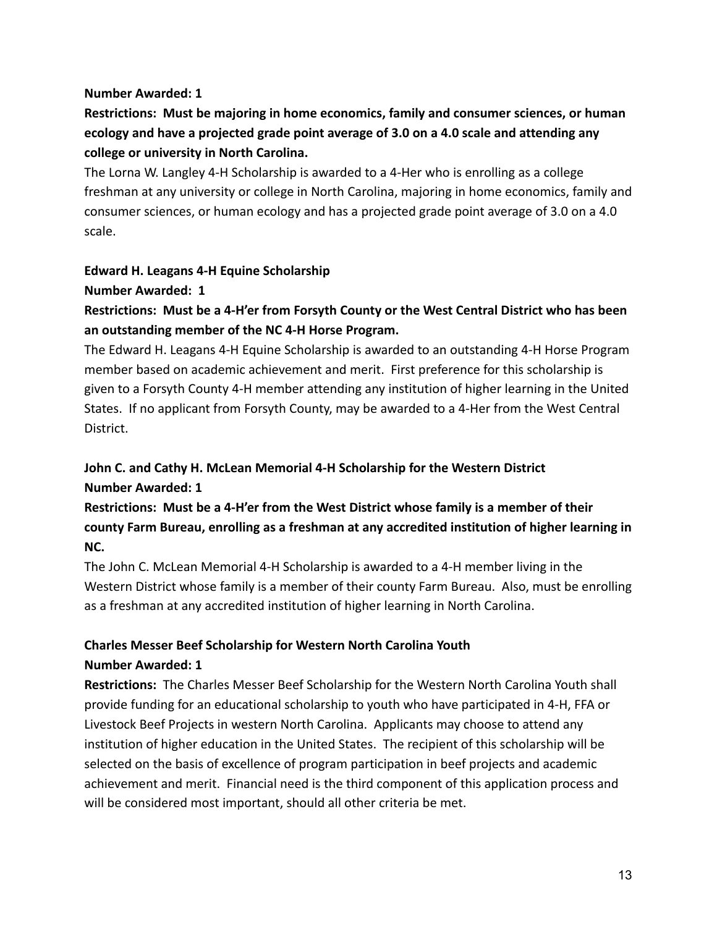#### **Number Awarded: 1**

# **Restrictions: Must be majoring in home economics, family and consumer sciences, or human ecology and have a projected grade point average of 3.0 on a 4.0 scale and attending any college or university in North Carolina.**

The Lorna W. Langley 4-H Scholarship is awarded to a 4-Her who is enrolling as a college freshman at any university or college in North Carolina, majoring in home economics, family and consumer sciences, or human ecology and has a projected grade point average of 3.0 on a 4.0 scale.

#### **Edward H. Leagans 4-H Equine Scholarship**

#### **Number Awarded: 1**

# **Restrictions: Must be a 4-H'er from Forsyth County or the West Central District who has been an outstanding member of the NC 4-H Horse Program.**

The Edward H. Leagans 4-H Equine Scholarship is awarded to an outstanding 4-H Horse Program member based on academic achievement and merit. First preference for this scholarship is given to a Forsyth County 4-H member attending any institution of higher learning in the United States. If no applicant from Forsyth County, may be awarded to a 4-Her from the West Central District.

# **John C. and Cathy H. McLean Memorial 4-H Scholarship for the Western District Number Awarded: 1**

# **Restrictions: Must be a 4-H'er from the West District whose family is a member of their county Farm Bureau, enrolling as a freshman at any accredited institution of higher learning in NC.**

The John C. McLean Memorial 4-H Scholarship is awarded to a 4-H member living in the Western District whose family is a member of their county Farm Bureau. Also, must be enrolling as a freshman at any accredited institution of higher learning in North Carolina.

#### **Charles Messer Beef Scholarship for Western North Carolina Youth Number Awarded: 1**

**Restrictions:** The Charles Messer Beef Scholarship for the Western North Carolina Youth shall provide funding for an educational scholarship to youth who have participated in 4-H, FFA or Livestock Beef Projects in western North Carolina. Applicants may choose to attend any institution of higher education in the United States. The recipient of this scholarship will be selected on the basis of excellence of program participation in beef projects and academic achievement and merit. Financial need is the third component of this application process and will be considered most important, should all other criteria be met.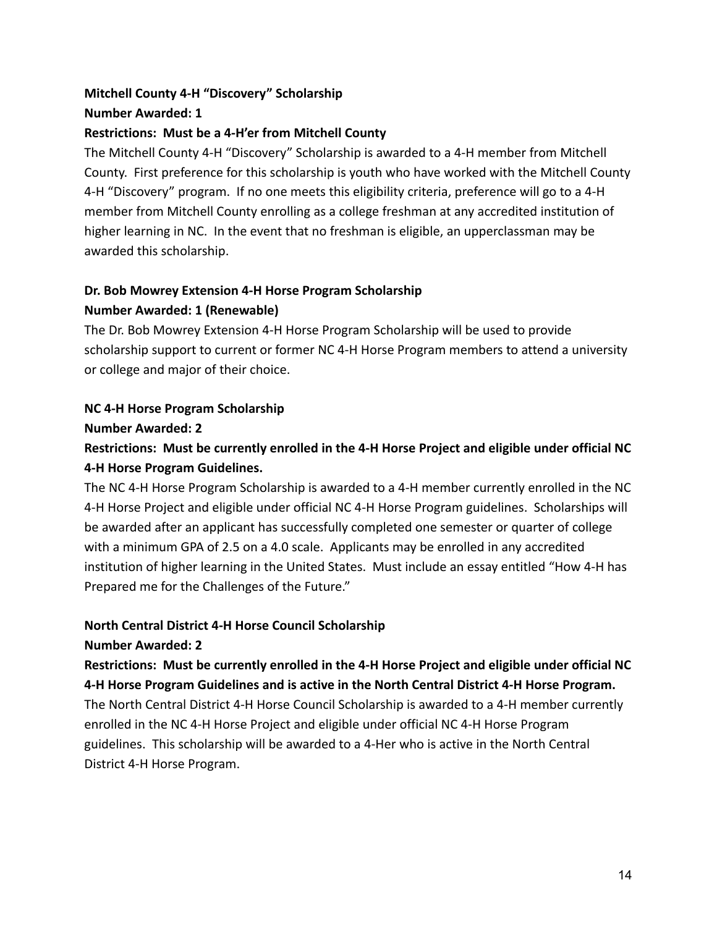# **Mitchell County 4-H "Discovery" Scholarship Number Awarded: 1**

## **Restrictions: Must be a 4-H'er from Mitchell County**

The Mitchell County 4-H "Discovery" Scholarship is awarded to a 4-H member from Mitchell County. First preference for this scholarship is youth who have worked with the Mitchell County 4-H "Discovery" program. If no one meets this eligibility criteria, preference will go to a 4-H member from Mitchell County enrolling as a college freshman at any accredited institution of higher learning in NC. In the event that no freshman is eligible, an upperclassman may be awarded this scholarship.

# **Dr. Bob Mowrey Extension 4-H Horse Program Scholarship**

## **Number Awarded: 1 (Renewable)**

The Dr. Bob Mowrey Extension 4-H Horse Program Scholarship will be used to provide scholarship support to current or former NC 4-H Horse Program members to attend a university or college and major of their choice.

# **NC 4-H Horse Program Scholarship**

## **Number Awarded: 2**

# **Restrictions: Must be currently enrolled in the 4-H Horse Project and eligible under official NC 4-H Horse Program Guidelines.**

The NC 4-H Horse Program Scholarship is awarded to a 4-H member currently enrolled in the NC 4-H Horse Project and eligible under official NC 4-H Horse Program guidelines. Scholarships will be awarded after an applicant has successfully completed one semester or quarter of college with a minimum GPA of 2.5 on a 4.0 scale. Applicants may be enrolled in any accredited institution of higher learning in the United States. Must include an essay entitled "How 4-H has Prepared me for the Challenges of the Future."

# **North Central District 4-H Horse Council Scholarship**

## **Number Awarded: 2**

**Restrictions: Must be currently enrolled in the 4-H Horse Project and eligible under official NC 4-H Horse Program Guidelines and is active in the North Central District 4-H Horse Program.**

The North Central District 4-H Horse Council Scholarship is awarded to a 4-H member currently enrolled in the NC 4-H Horse Project and eligible under official NC 4-H Horse Program guidelines. This scholarship will be awarded to a 4-Her who is active in the North Central District 4-H Horse Program.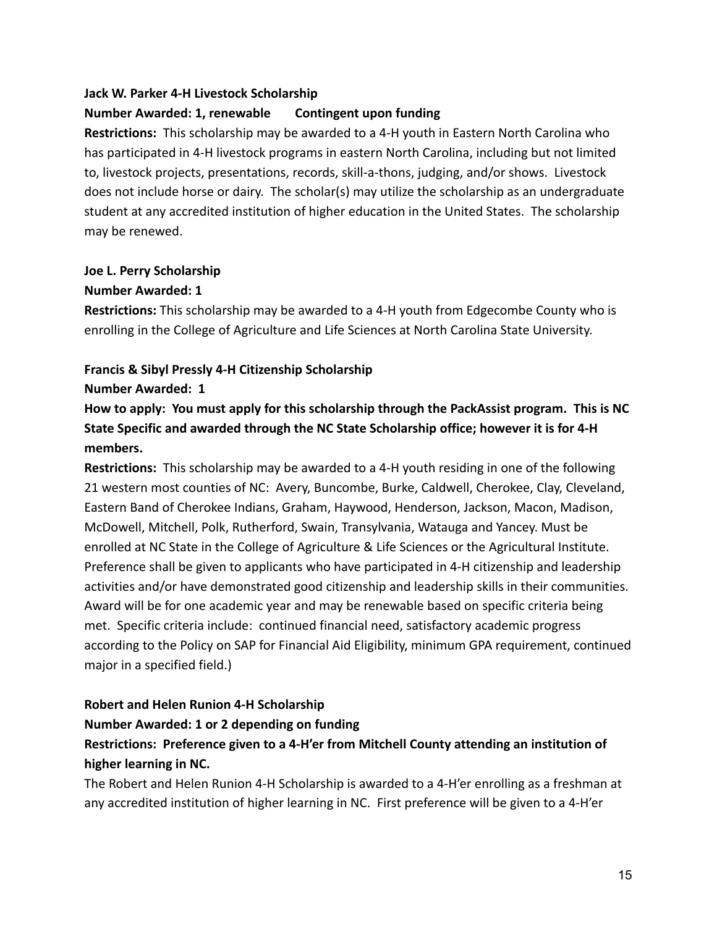#### **Jack W. Parker 4-H Livestock Scholarship**

#### **Number Awarded: 1, renewable Contingent upon funding**

**Restrictions:** This scholarship may be awarded to a 4-H youth in Eastern North Carolina who has participated in 4-H livestock programs in eastern North Carolina, including but not limited to, livestock projects, presentations, records, skill-a-thons, judging, and/or shows. Livestock does not include horse or dairy. The scholar(s) may utilize the scholarship as an undergraduate student at any accredited institution of higher education in the United States. The scholarship may be renewed.

#### **Joe L. Perry Scholarship**

#### **Number Awarded: 1**

**Restrictions:** This scholarship may be awarded to a 4-H youth from Edgecombe County who is enrolling in the College of Agriculture and Life Sciences at North Carolina State University.

#### **Francis & Sibyl Pressly 4-H Citizenship Scholarship**

#### **Number Awarded: 1**

**How to apply: You must apply for this scholarship through the PackAssist program. This is NC State Specific and awarded through the NC State Scholarship office; however it is for 4-H members.**

**Restrictions:** This scholarship may be awarded to a 4-H youth residing in one of the following 21 western most counties of NC: Avery, Buncombe, Burke, Caldwell, Cherokee, Clay, Cleveland, Eastern Band of Cherokee Indians, Graham, Haywood, Henderson, Jackson, Macon, Madison, McDowell, Mitchell, Polk, Rutherford, Swain, Transylvania, Watauga and Yancey. Must be enrolled at NC State in the College of Agriculture & Life Sciences or the Agricultural Institute. Preference shall be given to applicants who have participated in 4-H citizenship and leadership activities and/or have demonstrated good citizenship and leadership skills in their communities. Award will be for one academic year and may be renewable based on specific criteria being met. Specific criteria include: continued financial need, satisfactory academic progress according to the Policy on SAP for Financial Aid Eligibility, minimum GPA requirement, continued major in a specified field.)

## **Robert and Helen Runion 4-H Scholarship**

# **Number Awarded: 1 or 2 depending on funding**

# **Restrictions: Preference given to a 4-H'er from Mitchell County attending an institution of higher learning in NC.**

The Robert and Helen Runion 4-H Scholarship is awarded to a 4-H'er enrolling as a freshman at any accredited institution of higher learning in NC. First preference will be given to a 4-H'er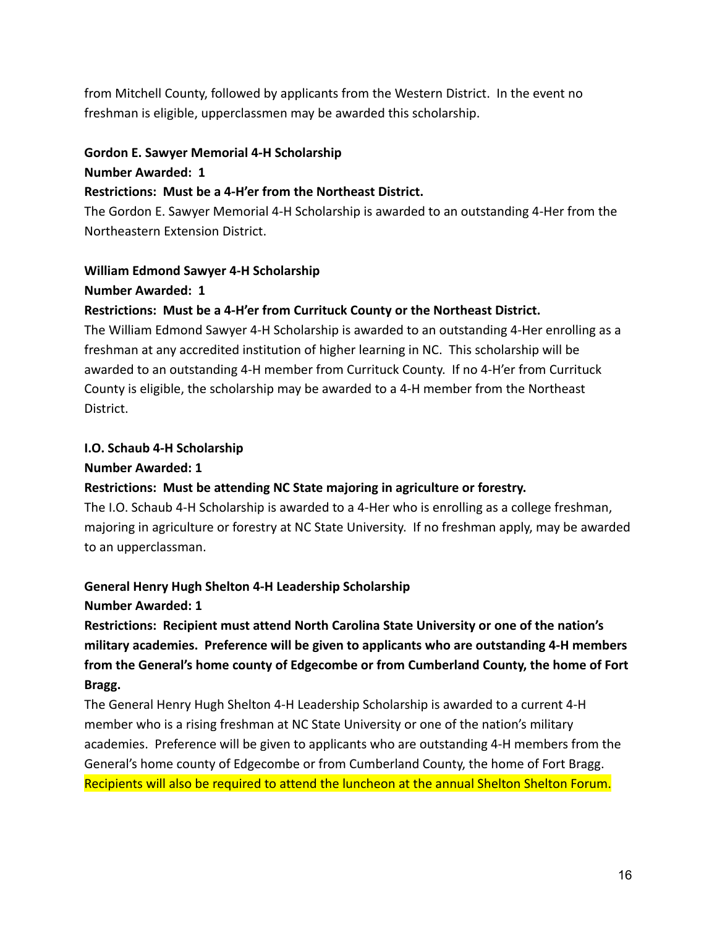from Mitchell County, followed by applicants from the Western District. In the event no freshman is eligible, upperclassmen may be awarded this scholarship.

#### **Gordon E. Sawyer Memorial 4-H Scholarship**

#### **Number Awarded: 1**

#### **Restrictions: Must be a 4-H'er from the Northeast District.**

The Gordon E. Sawyer Memorial 4-H Scholarship is awarded to an outstanding 4-Her from the Northeastern Extension District.

#### **William Edmond Sawyer 4-H Scholarship**

#### **Number Awarded: 1**

## **Restrictions: Must be a 4-H'er from Currituck County or the Northeast District.**

The William Edmond Sawyer 4-H Scholarship is awarded to an outstanding 4-Her enrolling as a freshman at any accredited institution of higher learning in NC. This scholarship will be awarded to an outstanding 4-H member from Currituck County. If no 4-H'er from Currituck County is eligible, the scholarship may be awarded to a 4-H member from the Northeast District.

#### **I.O. Schaub 4-H Scholarship**

#### **Number Awarded: 1**

## **Restrictions: Must be attending NC State majoring in agriculture or forestry.**

The I.O. Schaub 4-H Scholarship is awarded to a 4-Her who is enrolling as a college freshman, majoring in agriculture or forestry at NC State University. If no freshman apply, may be awarded to an upperclassman.

## **General Henry Hugh Shelton 4-H Leadership Scholarship**

## **Number Awarded: 1**

**Restrictions: Recipient must attend North Carolina State University or one of the nation's military academies. Preference will be given to applicants who are outstanding 4-H members from the General's home county of Edgecombe or from Cumberland County, the home of Fort Bragg.**

The General Henry Hugh Shelton 4-H Leadership Scholarship is awarded to a current 4-H member who is a rising freshman at NC State University or one of the nation's military academies. Preference will be given to applicants who are outstanding 4-H members from the General's home county of Edgecombe or from Cumberland County, the home of Fort Bragg. Recipients will also be required to attend the luncheon at the annual Shelton Shelton Forum.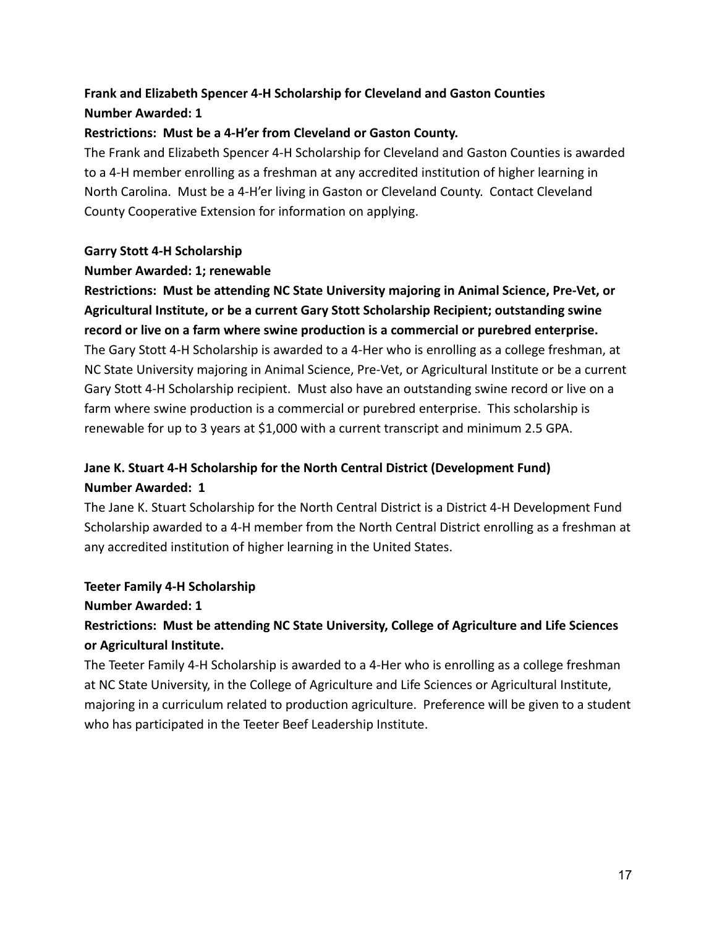# **Frank and Elizabeth Spencer 4-H Scholarship for Cleveland and Gaston Counties Number Awarded: 1**

## **Restrictions: Must be a 4-H'er from Cleveland or Gaston County.**

The Frank and Elizabeth Spencer 4-H Scholarship for Cleveland and Gaston Counties is awarded to a 4-H member enrolling as a freshman at any accredited institution of higher learning in North Carolina. Must be a 4-H'er living in Gaston or Cleveland County. Contact Cleveland County Cooperative Extension for information on applying.

## **Garry Stott 4-H Scholarship**

## **Number Awarded: 1; renewable**

**Restrictions: Must be attending NC State University majoring in Animal Science, Pre-Vet, or Agricultural Institute, or be a current Gary Stott Scholarship Recipient; outstanding swine record or live on a farm where swine production is a commercial or purebred enterprise.** The Gary Stott 4-H Scholarship is awarded to a 4-Her who is enrolling as a college freshman, at NC State University majoring in Animal Science, Pre-Vet, or Agricultural Institute or be a current Gary Stott 4-H Scholarship recipient. Must also have an outstanding swine record or live on a farm where swine production is a commercial or purebred enterprise. This scholarship is renewable for up to 3 years at \$1,000 with a current transcript and minimum 2.5 GPA.

# **Jane K. Stuart 4-H Scholarship for the North Central District (Development Fund) Number Awarded: 1**

The Jane K. Stuart Scholarship for the North Central District is a District 4-H Development Fund Scholarship awarded to a 4-H member from the North Central District enrolling as a freshman at any accredited institution of higher learning in the United States.

# **Teeter Family 4-H Scholarship**

## **Number Awarded: 1**

# **Restrictions: Must be attending NC State University, College of Agriculture and Life Sciences or Agricultural Institute.**

The Teeter Family 4-H Scholarship is awarded to a 4-Her who is enrolling as a college freshman at NC State University, in the College of Agriculture and Life Sciences or Agricultural Institute, majoring in a curriculum related to production agriculture. Preference will be given to a student who has participated in the Teeter Beef Leadership Institute.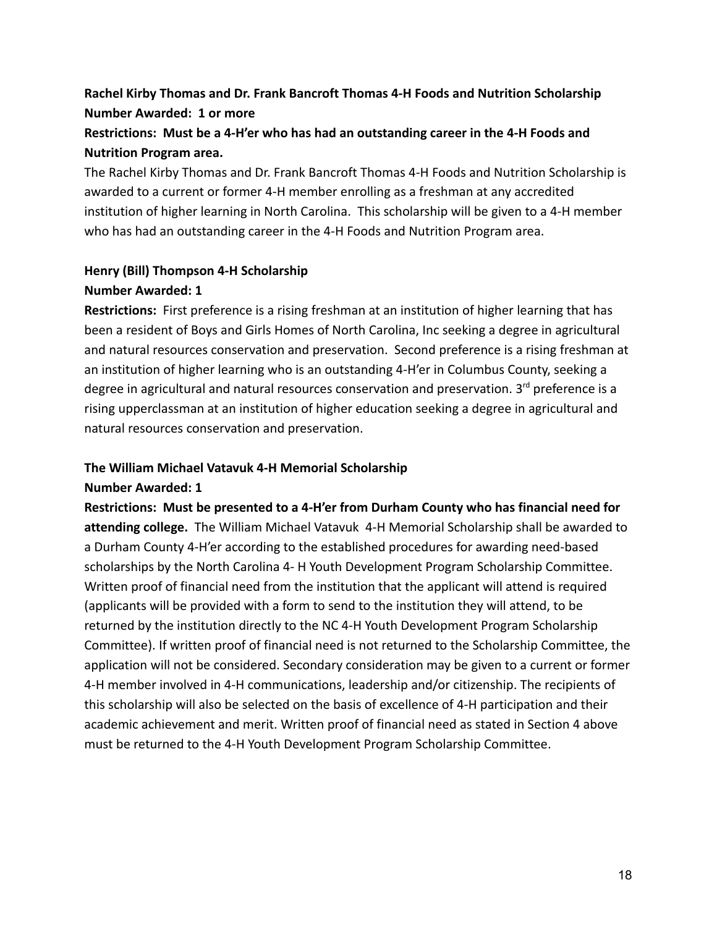# **Rachel Kirby Thomas and Dr. Frank Bancroft Thomas 4-H Foods and Nutrition Scholarship Number Awarded: 1 or more**

# **Restrictions: Must be a 4-H'er who has had an outstanding career in the 4-H Foods and Nutrition Program area.**

The Rachel Kirby Thomas and Dr. Frank Bancroft Thomas 4-H Foods and Nutrition Scholarship is awarded to a current or former 4-H member enrolling as a freshman at any accredited institution of higher learning in North Carolina. This scholarship will be given to a 4-H member who has had an outstanding career in the 4-H Foods and Nutrition Program area.

## **Henry (Bill) Thompson 4-H Scholarship Number Awarded: 1**

**Restrictions:** First preference is a rising freshman at an institution of higher learning that has been a resident of Boys and Girls Homes of North Carolina, Inc seeking a degree in agricultural and natural resources conservation and preservation. Second preference is a rising freshman at an institution of higher learning who is an outstanding 4-H'er in Columbus County, seeking a degree in agricultural and natural resources conservation and preservation. 3<sup>rd</sup> preference is a rising upperclassman at an institution of higher education seeking a degree in agricultural and natural resources conservation and preservation.

#### **The William Michael Vatavuk 4-H Memorial Scholarship**

## **Number Awarded: 1**

**Restrictions: Must be presented to a 4-H'er from Durham County who has financial need for attending college.** The William Michael Vatavuk 4-H Memorial Scholarship shall be awarded to a Durham County 4-H'er according to the established procedures for awarding need-based scholarships by the North Carolina 4- H Youth Development Program Scholarship Committee. Written proof of financial need from the institution that the applicant will attend is required (applicants will be provided with a form to send to the institution they will attend, to be returned by the institution directly to the NC 4-H Youth Development Program Scholarship Committee). If written proof of financial need is not returned to the Scholarship Committee, the application will not be considered. Secondary consideration may be given to a current or former 4-H member involved in 4-H communications, leadership and/or citizenship. The recipients of this scholarship will also be selected on the basis of excellence of 4-H participation and their academic achievement and merit. Written proof of financial need as stated in Section 4 above must be returned to the 4-H Youth Development Program Scholarship Committee.